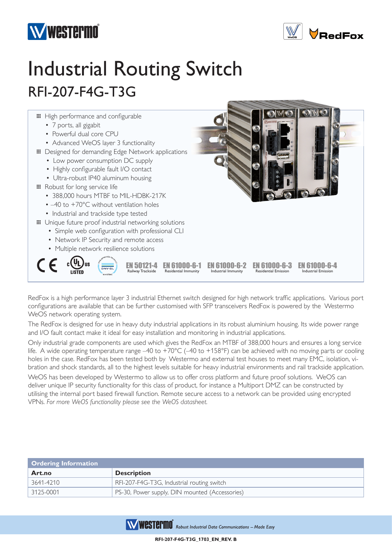



## Industrial Routing Switch RFI-207-F4G-T3G



RedFox is a high performance layer 3 industrial Ethernet switch designed for high network traffic applications. Various port configurations are available that can be further customised with SFP transceivers RedFox is powered by the Westermo WeOS network operating system.

The RedFox is designed for use in heavy duty industrial applications in its robust aluminium housing. Its wide power range and I/O fault contact make it ideal for easy installation and monitoring in industrial applications.

Only industrial grade components are used which gives the RedFox an MTBF of 388,000 hours and ensures a long service life. A wide operating temperature range –40 to +70°C (–40 to +158°F) can be achieved with no moving parts or cooling holes in the case. RedFox has been tested both by Westermo and external test houses to meet many EMC, isolation, vibration and shock standards, all to the highest levels suitable for heavy industrial environments and rail trackside application.

WeOS has been developed by Westermo to allow us to offer cross platform and future proof solutions. WeOS can deliver unique IP security functionality for this class of product, for instance a Multiport DMZ can be constructed by utilising the internal port based firewall function. Remote secure access to a network can be provided using encrypted VPNs. *For more WeOS functionality please see the WeOS datasheet.*

| <b>Ordering Information</b> |                                                |
|-----------------------------|------------------------------------------------|
| Art.no                      | <b>Description</b>                             |
| 3641-4210                   | RFI-207-F4G-T3G, Industrial routing switch     |
| 3125-0001                   | PS-30, Power supply, DIN mounted (Accessories) |